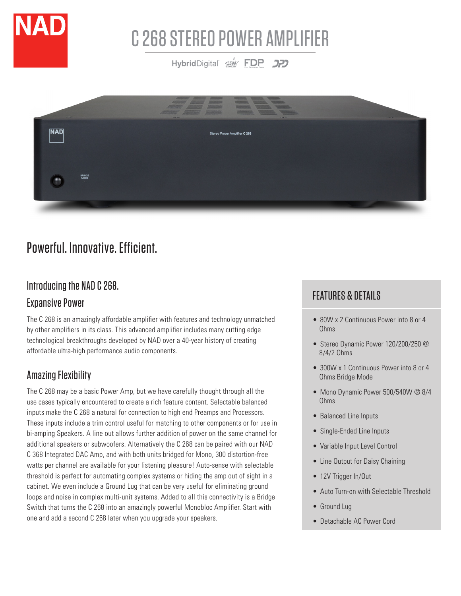

# C 268 STEREO POWER AMPLIFIER

HybridDigital STAND **DP** 



## Powerful. Innovative. Efficient.

## Introducing the NAD C 268.

## Expansive Power

The C 268 is an amazingly affordable amplifier with features and technology unmatched by other amplifiers in its class. This advanced amplifier includes many cutting edge technological breakthroughs developed by NAD over a 40-year history of creating affordable ultra-high performance audio components.

## Amazing Flexibility

The C 268 may be a basic Power Amp, but we have carefully thought through all the use cases typically encountered to create a rich feature content. Selectable balanced inputs make the C 268 a natural for connection to high end Preamps and Processors. These inputs include a trim control useful for matching to other components or for use in bi-amping Speakers. A line out allows further addition of power on the same channel for additional speakers or subwoofers. Alternatively the C 268 can be paired with our NAD C 368 Integrated DAC Amp, and with both units bridged for Mono, 300 distortion-free watts per channel are available for your listening pleasure! Auto-sense with selectable threshold is perfect for automating complex systems or hiding the amp out of sight in a cabinet. We even include a Ground Lug that can be very useful for eliminating ground loops and noise in complex multi-unit systems. Added to all this connectivity is a Bridge Switch that turns the C 268 into an amazingly powerful Monobloc Amplifier. Start with one and add a second C 268 later when you upgrade your speakers.

## FEATURES & DETAILS

- 80W x 2 Continuous Power into 8 or 4 Ohms
- Stereo Dynamic Power 120/200/250 @ 8/4/2 Ohms
- 300W x 1 Continuous Power into 8 or 4 Ohms Bridge Mode
- Mono Dynamic Power 500/540W @ 8/4 Ohms
- Balanced Line Inputs
- Single-Ended Line Inputs
- Variable Input Level Control
- Line Output for Daisy Chaining
- 12V Trigger In/Out
- Auto Turn-on with Selectable Threshold
- Ground Lug
- Detachable AC Power Cord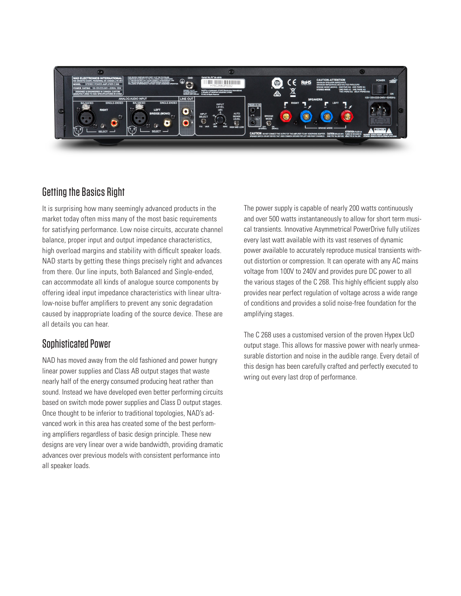

### Getting the Basics Right

It is surprising how many seemingly advanced products in the market today often miss many of the most basic requirements for satisfying performance. Low noise circuits, accurate channel balance, proper input and output impedance characteristics, high overload margins and stability with difficult speaker loads. NAD starts by getting these things precisely right and advances from there. Our line inputs, both Balanced and Single-ended, can accommodate all kinds of analogue source components by offering ideal input impedance characteristics with linear ultralow-noise buffer amplifiers to prevent any sonic degradation caused by inappropriate loading of the source device. These are all details you can hear.

### Sophisticated Power

NAD has moved away from the old fashioned and power hungry linear power supplies and Class AB output stages that waste nearly half of the energy consumed producing heat rather than sound. Instead we have developed even better performing circuits based on switch mode power supplies and Class D output stages. Once thought to be inferior to traditional topologies, NAD's advanced work in this area has created some of the best performing amplifiers regardless of basic design principle. These new designs are very linear over a wide bandwidth, providing dramatic advances over previous models with consistent performance into all speaker loads.

The power supply is capable of nearly 200 watts continuously and over 500 watts instantaneously to allow for short term musical transients. Innovative Asymmetrical PowerDrive fully utilizes every last watt available with its vast reserves of dynamic power available to accurately reproduce musical transients without distortion or compression. It can operate with any AC mains voltage from 100V to 240V and provides pure DC power to all the various stages of the C 268. This highly efficient supply also provides near perfect regulation of voltage across a wide range of conditions and provides a solid noise-free foundation for the amplifying stages.

The C 268 uses a customised version of the proven Hypex UcD output stage. This allows for massive power with nearly unmeasurable distortion and noise in the audible range. Every detail of this design has been carefully crafted and perfectly executed to wring out every last drop of performance.